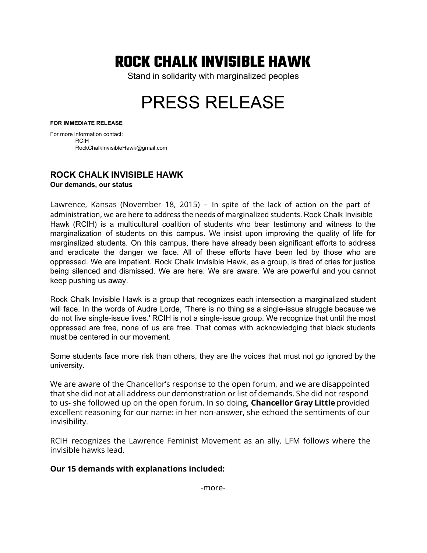# ROCK CHALK INVISIBLE HAWK

Stand in solidarity with marginalized peoples

# PRESS RELEASE

#### **FOR IMMEDIATE RELEASE**

For more information contact: RCIH RockChalkInvisibleHawk@gmail.com

# **ROCK CHALK INVISIBLE HAWK**

**Our demands, our status** 

Lawrence, Kansas (November 18, 2015) – In spite of the lack of action on the part of administration, we are here to address the needs of marginalized students. Rock Chalk Invisible Hawk (RCIH) is a multicultural coalition of students who bear testimony and witness to the marginalization of students on this campus. We insist upon improving the quality of life for marginalized students. On this campus, there have already been significant efforts to address and eradicate the danger we face. All of these efforts have been led by those who are oppressed. We are impatient. Rock Chalk Invisible Hawk, as a group, is tired of cries for justice being silenced and dismissed. We are here. We are aware. We are powerful and you cannot keep pushing us away.

Rock Chalk Invisible Hawk is a group that recognizes each intersection a marginalized student will face. In the words of Audre Lorde, 'There is no thing as a single-issue struggle because we do not live single-issue lives.' RCIH is not a single-issue group. We recognize that until the most oppressed are free, none of us are free. That comes with acknowledging that black students must be centered in our movement.

Some students face more risk than others, they are the voices that must not go ignored by the university.

We are aware of the Chancellor's response to the open forum, and we are disappointed that she did not at all address our demonstration or list of demands. She did not respond to us- she followed up on the open forum. In so doing, **Chancellor Gray Little** provided excellent reasoning for our name: in her non-answer, she echoed the sentiments of our invisibility.

RCIH recognizes the Lawrence Feminist Movement as an ally. LFM follows where the invisible hawks lead.

# Our 15 demands with explanations included: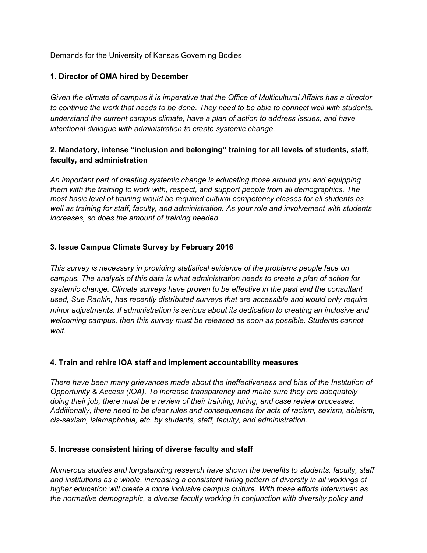Demands for the University of Kansas Governing Bodies

#### **1. Director of OMA hired by December**

*Given the climate of campus it is imperative that the Office of Multicultural Affairs has a director to continue the work that needs to be done. They need to be able to connect well with students, understand the current campus climate, have a plan of action to address issues, and have intentional dialogue with administration to create systemic change.* 

# **2. Mandatory, intense "inclusion and belonging" training for all levels of students, staff, faculty, and administration**

*An important part of creating systemic change is educating those around you and equipping them with the training to work with, respect, and support people from all demographics. The most basic level of training would be required cultural competency classes for all students as well as training for staff, faculty, and administration. As your role and involvement with students increases, so does the amount of training needed.* 

#### **3. Issue Campus Climate Survey by February 2016**

*This survey is necessary in providing statistical evidence of the problems people face on campus. The analysis of this data is what administration needs to create a plan of action for systemic change. Climate surveys have proven to be effective in the past and the consultant used, Sue Rankin, has recently distributed surveys that are accessible and would only require minor adjustments. If administration is serious about its dedication to creating an inclusive and welcoming campus, then this survey must be released as soon as possible. Students cannot wait.* 

#### **4. Train and rehire IOA staff and implement accountability measures**

*There have been many grievances made about the ineffectiveness and bias of the Institution of Opportunity & Access (IOA). To increase transparency and make sure they are adequately doing their job, there must be a review of their training, hiring, and case review processes. Additionally, there need to be clear rules and consequences for acts of racism, sexism, ableism, cissexism, islamaphobia, etc. by students, staff, faculty, and administration.*

#### **5. Increase consistent hiring of diverse faculty and staff**

*Numerous studies and longstanding research have shown the benefits to students, faculty, staff and institutions as a whole, increasing a consistent hiring pattern of diversity in all workings of higher education will create a more inclusive campus culture. With these efforts interwoven as the normative demographic, a diverse faculty working in conjunction with diversity policy and*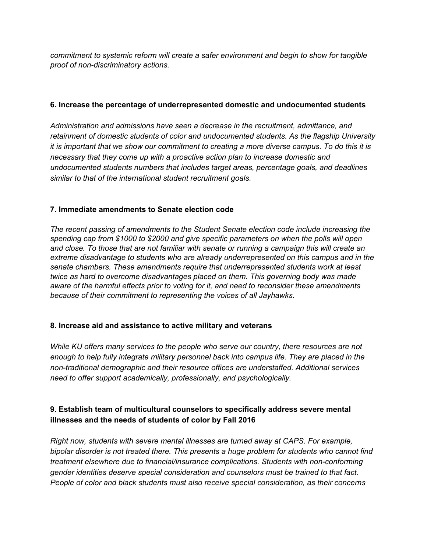*commitment to systemic reform will create a safer environment and begin to show for tangible proof of non-discriminatory actions.* 

#### **6. Increase the percentage of underrepresented domestic and undocumented students**

*Administration and admissions have seen a decrease in the recruitment, admittance, and retainment of domestic students of color and undocumented students. As the flagship University it is important that we show our commitment to creating a more diverse campus. To do this it is necessary that they come up with a proactive action plan to increase domestic and undocumented students numbers that includes target areas, percentage goals, and deadlines similar to that of the international student recruitment goals.* 

# **7. Immediate amendments to Senate election code**

*The recent passing of amendments to the Student Senate election code include increasing the spending cap from \$1000 to \$2000 and give specific parameters on when the polls will open and close. To those that are not familiar with senate or running a campaign this will create an extreme disadvantage to students who are already underrepresented on this campus and in the senate chambers. These amendments require that underrepresented students work at least twice as hard to overcome disadvantages placed on them. This governing body was made aware of the harmful effects prior to voting for it, and need to reconsider these amendments because of their commitment to representing the voices of all Jayhawks.* 

# **8. Increase aid and assistance to active military and veterans**

*While KU offers many services to the people who serve our country, there resources are not enough to help fully integrate military personnel back into campus life. They are placed in the nontraditional demographic and their resource offices are understaffed. Additional services need to offer support academically, professionally, and psychologically.* 

# **9. Establish team of multicultural counselors to specifically address severe mental illnesses and the needs of students of color by Fall 2016**

*Right now, students with severe mental illnesses are turned away at CAPS. For example, bipolar disorder is not treated there. This presents a huge problem for students who cannot find treatment elsewhere due to financial/insurance complications. Students with nonconforming gender identities deserve special consideration and counselors must be trained to that fact. People of color and black students must also receive special consideration, as their concerns*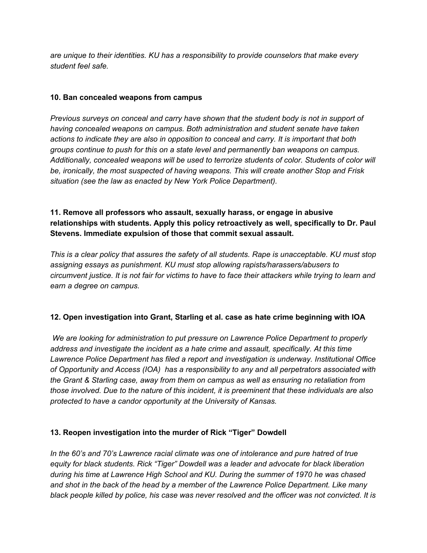*are unique to their identities. KU has a responsibility to provide counselors that make every student feel safe.* 

#### **10. Ban concealed weapons from campus**

*Previous surveys on conceal and carry have shown that the student body is not in support of having concealed weapons on campus. Both administration and student senate have taken actions to indicate they are also in opposition to conceal and carry. It is important that both groups continue to push for this on a state level and permanently ban weapons on campus. Additionally, concealed weapons will be used to terrorize students of color. Students of color will be, ironically, the most suspected of having weapons. This will create another Stop and Frisk situation (see the law as enacted by New York Police Department).* 

# **11. Remove all professors who assault, sexually harass, or engage in abusive relationships with students. Apply this policy retroactively as well, specifically to Dr. Paul Stevens. Immediate expulsion of those that commit sexual assault.**

*This is a clear policy that assures the safety of all students. Rape is unacceptable. KU must stop assigning essays as punishment. KU must stop allowing rapists/harassers/abusers to circumvent justice. It is not fair for victims to have to face their attackers while trying to learn and earn a degree on campus.* 

# **12. Open investigation into Grant, Starling et al. case as hate crime beginning with IOA**

*We are looking for administration to put pressure on Lawrence Police Department to properly address and investigate the incident as a hate crime and assault, specifically. At this time Lawrence Police Department has filed a report and investigation is underway. Institutional Office of Opportunity and Access (IOA) has a responsibility to any and all perpetrators associated with the Grant & Starling case, away from them on campus as well as ensuring no retaliation from those involved. Due to the nature of this incident, it is preeminent that these individuals are also protected to have a candor opportunity at the University of Kansas.* 

# **13. Reopen investigation into the murder of Rick "Tiger" Dowdell**

*In the 60's and 70's Lawrence racial climate was one of intolerance and pure hatred of true equity for black students. Rick "Tiger" Dowdell was a leader and advocate for black liberation during his time at Lawrence High School and KU. During the summer of 1970 he was chased and shot in the back of the head by a member of the Lawrence Police Department. Like many black people killed by police, his case was never resolved and the officer was not convicted. It is*